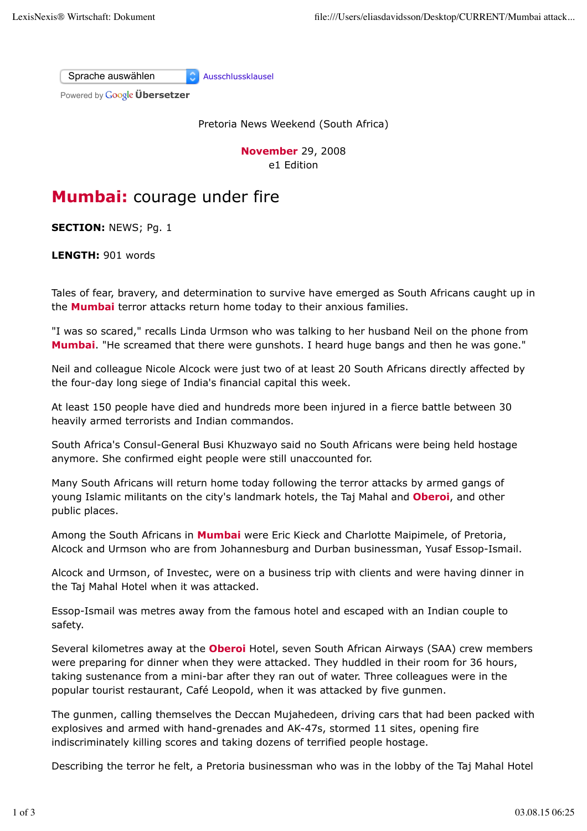Sprache auswählen Ausschlussklausel

Powered by **Google Übersetzer** 

Pretoria News Weekend (South Africa)

**November** 29, 2008 e1 Edition

## **Mumbai:** courage under fire

**SECTION:** NEWS; Pg. 1

**LENGTH:** 901 words

Tales of fear, bravery, and determination to survive have emerged as South Africans caught up in the **Mumbai** terror attacks return home today to their anxious families.

"I was so scared," recalls Linda Urmson who was talking to her husband Neil on the phone from **Mumbai**. "He screamed that there were gunshots. I heard huge bangs and then he was gone."

Neil and colleague Nicole Alcock were just two of at least 20 South Africans directly affected by the four-day long siege of India's financial capital this week.

At least 150 people have died and hundreds more been injured in a fierce battle between 30 heavily armed terrorists and Indian commandos.

South Africa's Consul-General Busi Khuzwayo said no South Africans were being held hostage anymore. She confirmed eight people were still unaccounted for.

Many South Africans will return home today following the terror attacks by armed gangs of young Islamic militants on the city's landmark hotels, the Taj Mahal and **Oberoi**, and other public places.

Among the South Africans in **Mumbai** were Eric Kieck and Charlotte Maipimele, of Pretoria, Alcock and Urmson who are from Johannesburg and Durban businessman, Yusaf Essop-Ismail.

Alcock and Urmson, of Investec, were on a business trip with clients and were having dinner in the Taj Mahal Hotel when it was attacked.

Essop-Ismail was metres away from the famous hotel and escaped with an Indian couple to safety.

Several kilometres away at the **Oberoi** Hotel, seven South African Airways (SAA) crew members were preparing for dinner when they were attacked. They huddled in their room for 36 hours, taking sustenance from a mini-bar after they ran out of water. Three colleagues were in the popular tourist restaurant, Café Leopold, when it was attacked by five gunmen.

The gunmen, calling themselves the Deccan Mujahedeen, driving cars that had been packed with explosives and armed with hand-grenades and AK-47s, stormed 11 sites, opening fire indiscriminately killing scores and taking dozens of terrified people hostage.

Describing the terror he felt, a Pretoria businessman who was in the lobby of the Taj Mahal Hotel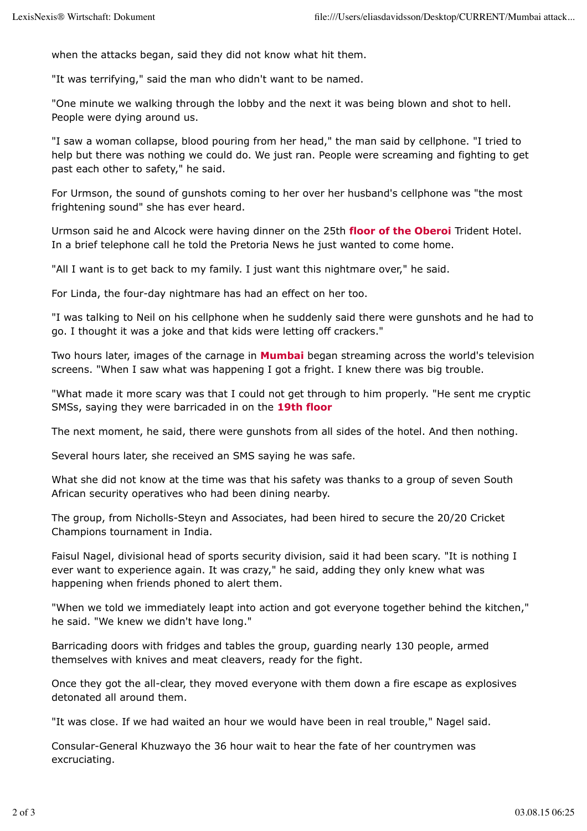when the attacks began, said they did not know what hit them.

"It was terrifying," said the man who didn't want to be named.

"One minute we walking through the lobby and the next it was being blown and shot to hell. People were dying around us.

"I saw a woman collapse, blood pouring from her head," the man said by cellphone. "I tried to help but there was nothing we could do. We just ran. People were screaming and fighting to get past each other to safety," he said.

For Urmson, the sound of gunshots coming to her over her husband's cellphone was "the most frightening sound" she has ever heard.

Urmson said he and Alcock were having dinner on the 25th **floor of the Oberoi** Trident Hotel. In a brief telephone call he told the Pretoria News he just wanted to come home.

"All I want is to get back to my family. I just want this nightmare over," he said.

For Linda, the four-day nightmare has had an effect on her too.

"I was talking to Neil on his cellphone when he suddenly said there were gunshots and he had to go. I thought it was a joke and that kids were letting off crackers."

Two hours later, images of the carnage in **Mumbai** began streaming across the world's television screens. "When I saw what was happening I got a fright. I knew there was big trouble.

"What made it more scary was that I could not get through to him properly. "He sent me cryptic SMSs, saying they were barricaded in on the **19th floor**

The next moment, he said, there were gunshots from all sides of the hotel. And then nothing.

Several hours later, she received an SMS saying he was safe.

What she did not know at the time was that his safety was thanks to a group of seven South African security operatives who had been dining nearby.

The group, from Nicholls-Steyn and Associates, had been hired to secure the 20/20 Cricket Champions tournament in India.

Faisul Nagel, divisional head of sports security division, said it had been scary. "It is nothing I ever want to experience again. It was crazy," he said, adding they only knew what was happening when friends phoned to alert them.

"When we told we immediately leapt into action and got everyone together behind the kitchen," he said. "We knew we didn't have long."

Barricading doors with fridges and tables the group, guarding nearly 130 people, armed themselves with knives and meat cleavers, ready for the fight.

Once they got the all-clear, they moved everyone with them down a fire escape as explosives detonated all around them.

"It was close. If we had waited an hour we would have been in real trouble," Nagel said.

Consular-General Khuzwayo the 36 hour wait to hear the fate of her countrymen was excruciating.